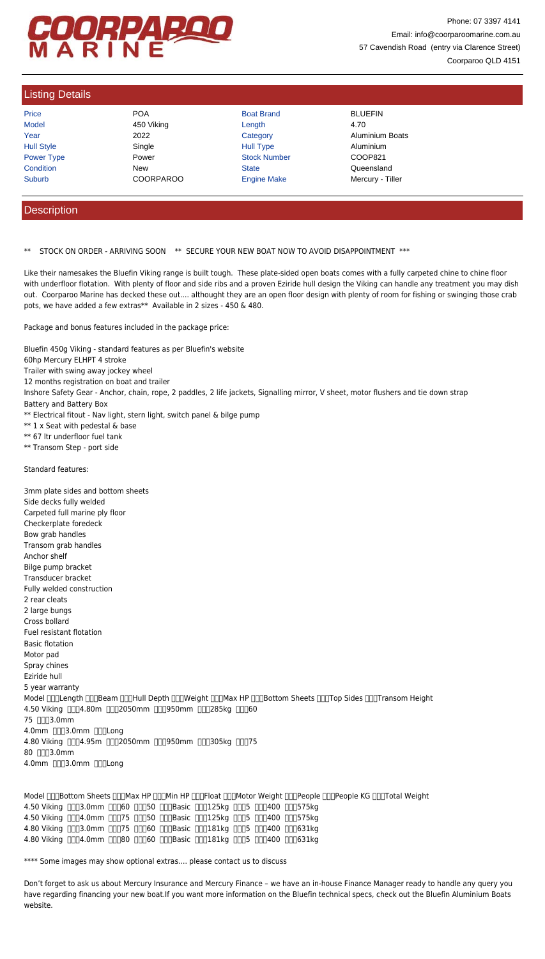## COORPAROO

Phone: 07 3397 4141 Email: info@coorparoomarine.com.au 57 Cavendish Road (entry via Clarence Street) Coorparoo QLD 4151

## Listing Details

| Price             | <b>POA</b>       | <b>Boat Brand</b>   | <b>BLUEFIN</b>         |
|-------------------|------------------|---------------------|------------------------|
| <b>Model</b>      | 450 Viking       | Length              | 4.70                   |
| Year              | 2022             | Category            | <b>Aluminium Boats</b> |
| <b>Hull Style</b> | Single           | <b>Hull Type</b>    | Aluminium              |
| <b>Power Type</b> | Power            | <b>Stock Number</b> | COOP821                |
| Condition         | <b>New</b>       | <b>State</b>        | Queensland             |
| <b>Suburb</b>     | <b>COORPAROO</b> | <b>Engine Make</b>  | Mercury - Tiller       |

## **Description**

\*\* STOCK ON ORDER - ARRIVING SOON \*\* SECURE YOUR NEW BOAT NOW TO AVOID DISAPPOINTMENT \*\*\*

Like their namesakes the Bluefin Viking range is built tough. These plate-sided open boats comes with a fully carpeted chine to chine floor with underfloor flotation. With plenty of floor and side ribs and a proven Eziride hull design the Viking can handle any treatment you may dish out. Coorparoo Marine has decked these out.... althought they are an open floor design with plenty of room for fishing or swinging those crab pots, we have added a few extras\*\* Available in 2 sizes - 450 & 480.

Package and bonus features included in the package price:

Bluefin 450g Viking - standard features as per Bluefin's website 60hp Mercury ELHPT 4 stroke Trailer with swing away jockey wheel 12 months registration on boat and trailer Inshore Safety Gear - Anchor, chain, rope, 2 paddles, 2 life jackets, Signalling mirror, V sheet, motor flushers and tie down strap Battery and Battery Box \*\* Electrical fitout - Nav light, stern light, switch panel & bilge pump \*\* 1 x Seat with pedestal & base \*\* 67 ltr underfloor fuel tank

\*\* Transom Step - port side

Standard features:

3mm plate sides and bottom sheets Side decks fully welded Carpeted full marine ply floor Checkerplate foredeck Bow grab handles Transom grab handles Anchor shelf Bilge pump bracket Transducer bracket Fully welded construction 2 rear cleats 2 large bungs Cross bollard Fuel resistant flotation Basic flotation Motor pad Spray chines Eziride hull 5 year warranty

Model <sub>DOC</sub>Length DOBeam DOCHull Depth DOCWeight DOCMax HP DOCBottom Sheets COCTop Sides DOCTransom Height 4.50 Viking 0004.80m 0002050mm 000950mm 000285kg 00060 75 **0003.0mm** 4.0mm [ 0 3.0mm <sup>0</sup> 0 1 0 mg 4.80 Viking 0004.95m 0002050mm 000950mm 000305kg 00075 80 **0003.0mm** 4.0mm [ 3.0mm [ ] [ Long

Model nnBottom Sheets nnMax HP nnMin HP nnFloat nnMotor Weight nnPeople nnPeople KG nnTotal Weight 4.50 Viking 0003.0mm 00060 00050 000Basic 000125kg 0005 000400 000575kg 4.50 Viking 0004.0mm 00075 00050 000Basic 000125kg 0005 000400 000575kg 4.80 Viking 0003.0mm 00075 00060 000Basic 000181kg 0005 000400 000631kg 4.80 Viking 0004.0mm 00080 00060 000Basic 000181kg 0005 000400 000631kg

\*\*\*\* Some images may show optional extras.... please contact us to discuss

Don't forget to ask us about Mercury Insurance and Mercury Finance – we have an in-house Finance Manager ready to handle any query you have regarding financing your new boat.If you want more information on the Bluefin technical specs, check out the Bluefin Aluminium Boats website.